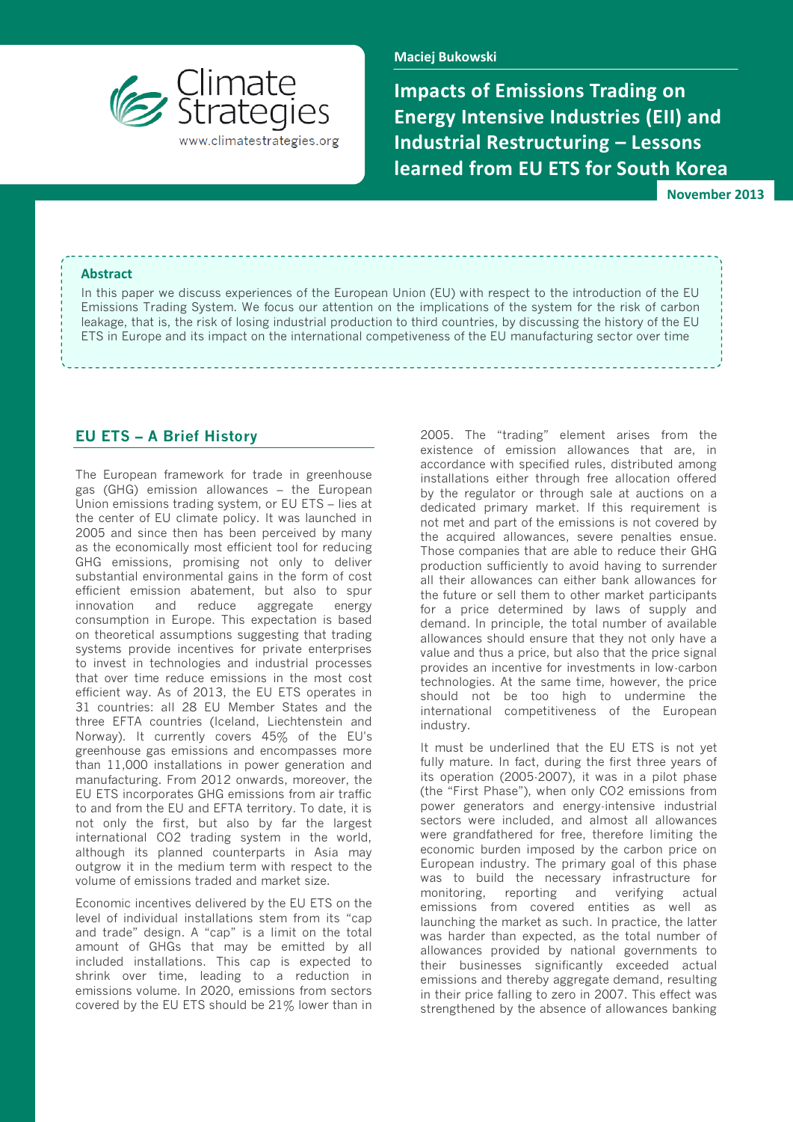

**Maciej Bukowski**

**Impacts of Emissions Trading on Energy Intensive Industries (EII) and Industrial Restructuring – Lessons learned from EU ETS for South Korea**

**November 2013**

#### **Abstract**

In this paper we discuss experiences of the European Union (EU) with respect to the introduction of the EU Emissions Trading System. We focus our attention on the implications of the system for the risk of carbon leakage, that is, the risk of losing industrial production to third countries, by discussing the history of the EU ETS in Europe and its impact on the international competiveness of the EU manufacturing sector over time

### **EU ETS – A Brief History**

The European framework for trade in greenhouse gas (GHG) emission allowances – the European Union emissions trading system, or EU ETS – lies at the center of EU climate policy. It was launched in 2005 and since then has been perceived by many as the economically most efficient tool for reducing GHG emissions, promising not only to deliver substantial environmental gains in the form of cost efficient emission abatement, but also to spur innovation and reduce aggregate energy consumption in Europe. This expectation is based on theoretical assumptions suggesting that trading systems provide incentives for private enterprises to invest in technologies and industrial processes that over time reduce emissions in the most cost efficient way. As of 2013, the EU ETS operates in 31 countries: all 28 EU Member States and the three EFTA countries (Iceland, Liechtenstein and Norway). It currently covers 45% of the EU's greenhouse gas emissions and encompasses more than 11,000 installations in power generation and manufacturing. From 2012 onwards, moreover, the EU ETS incorporates GHG emissions from air traffic to and from the EU and EFTA territory. To date, it is not only the first, but also by far the largest international CO2 trading system in the world, although its planned counterparts in Asia may outgrow it in the medium term with respect to the volume of emissions traded and market size.

Economic incentives delivered by the EU ETS on the level of individual installations stem from its "cap and trade" design. A "cap" is a limit on the total amount of GHGs that may be emitted by all included installations. This cap is expected to shrink over time, leading to a reduction in emissions volume. In 2020, emissions from sectors covered by the EU ETS should be 21% lower than in 2005. The "trading" element arises from the existence of emission allowances that are, in accordance with specified rules, distributed among installations either through free allocation offered by the regulator or through sale at auctions on a dedicated primary market. If this requirement is not met and part of the emissions is not covered by the acquired allowances, severe penalties ensue. Those companies that are able to reduce their GHG production sufficiently to avoid having to surrender all their allowances can either bank allowances for the future or sell them to other market participants for a price determined by laws of supply and demand. In principle, the total number of available allowances should ensure that they not only have a value and thus a price, but also that the price signal provides an incentive for investments in low-carbon technologies. At the same time, however, the price should not be too high to undermine the international competitiveness of the European industry.

It must be underlined that the EU ETS is not yet fully mature. In fact, during the first three years of its operation (2005-2007), it was in a pilot phase (the "First Phase"), when only CO2 emissions from power generators and energy-intensive industrial sectors were included, and almost all allowances were grandfathered for free, therefore limiting the economic burden imposed by the carbon price on European industry. The primary goal of this phase was to build the necessary infrastructure for monitoring, reporting and verifying actual emissions from covered entities as well as launching the market as such. In practice, the latter was harder than expected, as the total number of allowances provided by national governments to their businesses significantly exceeded actual emissions and thereby aggregate demand, resulting in their price falling to zero in 2007. This effect was strengthened by the absence of allowances banking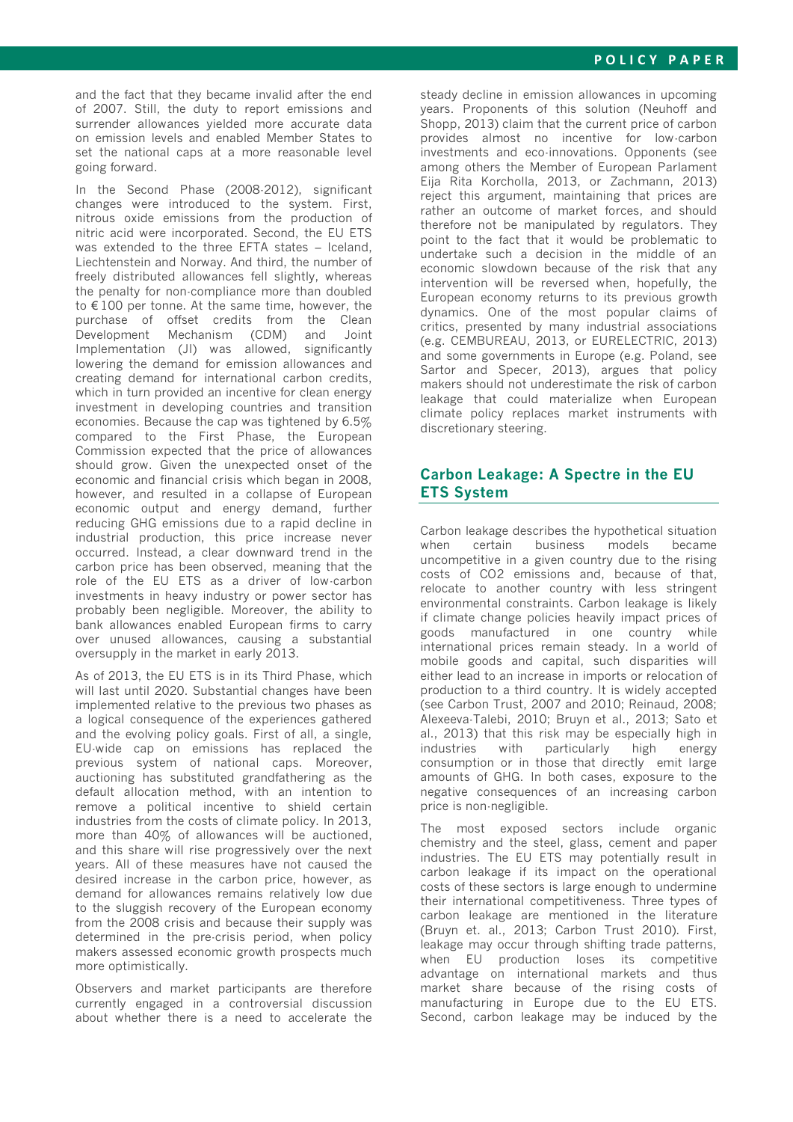and the fact that they became invalid after the end of 2007. Still, the duty to report emissions and surrender allowances yielded more accurate data on emission levels and enabled Member States to set the national caps at a more reasonable level going forward.

In the Second Phase (2008-2012), significant changes were introduced to the system. First, nitrous oxide emissions from the production of nitric acid were incorporated. Second, the EU ETS was extended to the three EFTA states – Iceland, Liechtenstein and Norway. And third, the number of freely distributed allowances fell slightly, whereas the penalty for non-compliance more than doubled to € 100 per tonne. At the same time, however, the purchase of offset credits from the Clean Development Mechanism (CDM) and Joint Implementation (JI) was allowed, significantly lowering the demand for emission allowances and creating demand for international carbon credits, which in turn provided an incentive for clean energy investment in developing countries and transition economies. Because the cap was tightened by 6.5% compared to the First Phase, the European Commission expected that the price of allowances should grow. Given the unexpected onset of the economic and financial crisis which began in 2008, however, and resulted in a collapse of European economic output and energy demand, further reducing GHG emissions due to a rapid decline in industrial production, this price increase never occurred. Instead, a clear downward trend in the carbon price has been observed, meaning that the role of the EU ETS as a driver of low-carbon investments in heavy industry or power sector has probably been negligible. Moreover, the ability to bank allowances enabled European firms to carry over unused allowances, causing a substantial oversupply in the market in early 2013.

As of 2013, the EU ETS is in its Third Phase, which will last until 2020. Substantial changes have been implemented relative to the previous two phases as a logical consequence of the experiences gathered and the evolving policy goals. First of all, a single, EU-wide cap on emissions has replaced the previous system of national caps. Moreover, auctioning has substituted grandfathering as the default allocation method, with an intention to remove a political incentive to shield certain industries from the costs of climate policy. In 2013, more than 40% of allowances will be auctioned, and this share will rise progressively over the next years. All of these measures have not caused the desired increase in the carbon price, however, as demand for allowances remains relatively low due to the sluggish recovery of the European economy from the 2008 crisis and because their supply was determined in the pre-crisis period, when policy makers assessed economic growth prospects much more optimistically.

Observers and market participants are therefore currently engaged in a controversial discussion about whether there is a need to accelerate the

steady decline in emission allowances in upcoming years. Proponents of this solution (Neuhoff and Shopp, 2013) claim that the current price of carbon provides almost no incentive for low-carbon investments and eco-innovations. Opponents (see among others the Member of European Parlament Eija Rita Korcholla, 2013, or Zachmann, 2013) reject this argument, maintaining that prices are rather an outcome of market forces, and should therefore not be manipulated by regulators. They point to the fact that it would be problematic to undertake such a decision in the middle of an economic slowdown because of the risk that any intervention will be reversed when, hopefully, the European economy returns to its previous growth dynamics. One of the most popular claims of critics, presented by many industrial associations (e.g. CEMBUREAU, 2013, or EURELECTRIC, 2013) and some governments in Europe (e.g. Poland, see Sartor and Specer, 2013), argues that policy makers should not underestimate the risk of carbon leakage that could materialize when European climate policy replaces market instruments with discretionary steering.

# **Carbon Leakage: A Spectre in the EU ETS System**

Carbon leakage describes the hypothetical situation when certain business models became uncompetitive in a given country due to the rising costs of CO2 emissions and, because of that, relocate to another country with less stringent environmental constraints. Carbon leakage is likely if climate change policies heavily impact prices of goods manufactured in one country while international prices remain steady. In a world of mobile goods and capital, such disparities will either lead to an increase in imports or relocation of production to a third country. It is widely accepted (see Carbon Trust, 2007 and 2010; Reinaud, 2008; Alexeeva-Talebi, 2010; Bruyn et al., 2013; Sato et al., 2013) that this risk may be especially high in industries with particularly high energy consumption or in those that directly emit large amounts of GHG. In both cases, exposure to the negative consequences of an increasing carbon price is non-negligible.

The most exposed sectors include organic chemistry and the steel, glass, cement and paper industries. The EU ETS may potentially result in carbon leakage if its impact on the operational costs of these sectors is large enough to undermine their international competitiveness. Three types of carbon leakage are mentioned in the literature (Bruyn et. al., 2013; Carbon Trust 2010). First, leakage may occur through shifting trade patterns, when EU production loses its competitive advantage on international markets and thus market share because of the rising costs of manufacturing in Europe due to the EU ETS. Second, carbon leakage may be induced by the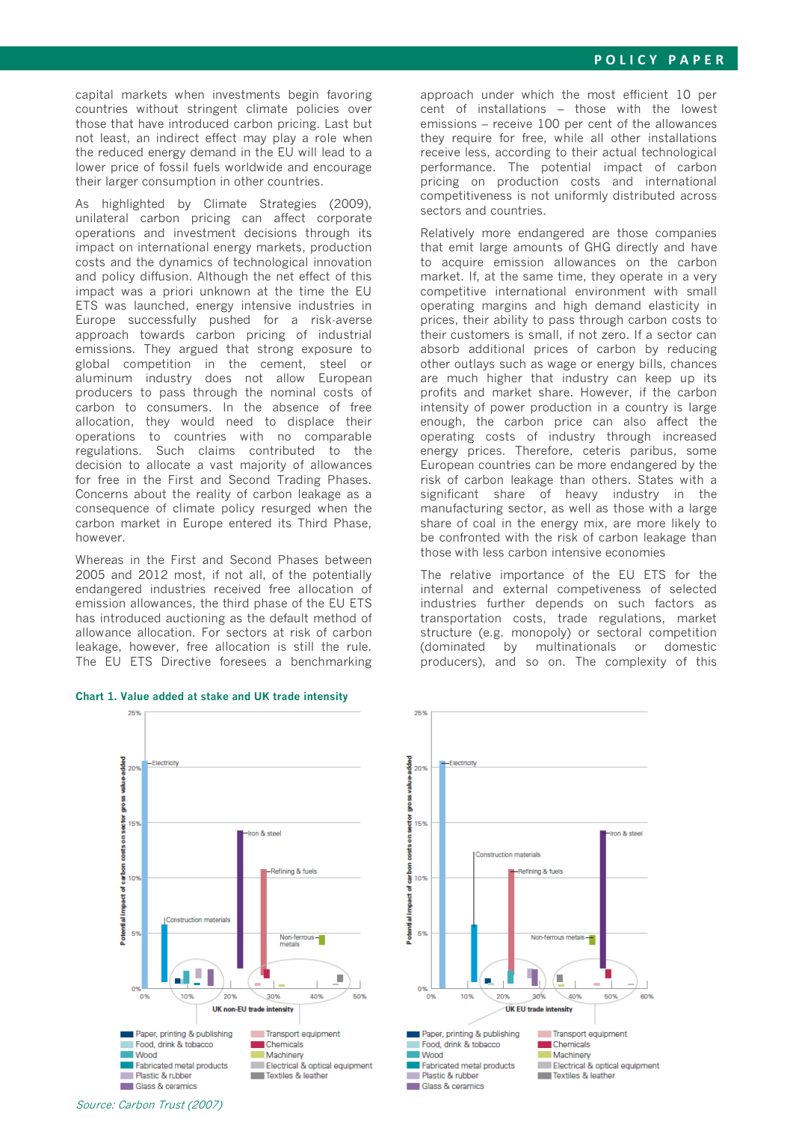capital markets when investments begin favoring countries without stringent climate policies over those that have introduced carbon pricing. Last but not least, an indirect effect may play a role when the reduced energy demand in the EU will lead to a lower price of fossil fuels worldwide and encourage their larger consumption in other countries.

As highlighted by Climate Strategies (2009), unilateral carbon pricing can affect corporate operations and investment decisions through its impact on international energy markets, production costs and the dynamics of technological innovation and policy diffusion. Although the net effect of this impact was a priori unknown at the time the EU ETS was launched, energy intensive industries in Europe successfully pushed for a risk-averse approach towards carbon pricing of industrial emissions. They argued that strong exposure to global competition in the cement, steel or aluminum industry does not allow European producers to pass through the nominal costs of carbon to consumers. In the absence of free allocation, they would need to displace their operations to countries with no comparable regulations. Such claims contributed to the decision to allocate a vast majority of allowances for free in the First and Second Trading Phases. Concerns about the reality of carbon leakage as a consequence of climate policy resurged when the carbon market in Europe entered its Third Phase, however.

Whereas in the First and Second Phases between 2005 and 2012 most, if not all, of the potentially endangered industries received free allocation of emission allowances, the third phase of the EU ETS has introduced auctioning as the default method of allowance allocation. For sectors at risk of carbon leakage, however, free allocation is still the rule. The EU ETS Directive foresees a benchmarking

#### **Chart 1. Value added at stake and UK trade intensity**

25%

approach under which the most efficient 10 per cent of installations – those with the lowest emissions – receive 100 per cent of the allowances they require for free, while all other installations receive less, according to their actual technological performance. The potential impact of carbon pricing on production costs and international competitiveness is not uniformly distributed across sectors and countries.

Relatively more endangered are those companies that emit large amounts of GHG directly and have to acquire emission allowances on the carbon market. If, at the same time, they operate in a very competitive international environment with small operating margins and high demand elasticity in prices, their ability to pass through carbon costs to their customers is small, if not zero. If a sector can absorb additional prices of carbon by reducing other outlays such as wage or energy bills, chances are much higher that industry can keep up its profits and market share. However, if the carbon intensity of power production in a country is large enough, the carbon price can also affect the operating costs of industry through increased energy prices. Therefore, ceteris paribus, some European countries can be more endangered by the risk of carbon leakage than others. States with a significant share of heavy industry in the manufacturing sector, as well as those with a large share of coal in the energy mix, are more likely to be confronted with the risk of carbon leakage than those with less carbon intensive economies

The relative importance of the EU ETS for the internal and external competiveness of selected industries further depends on such factors as transportation costs, trade regulations, market structure (e.g. monopoly) or sectoral competition (dominated by multinationals or domestic producers), and so on. The complexity of this



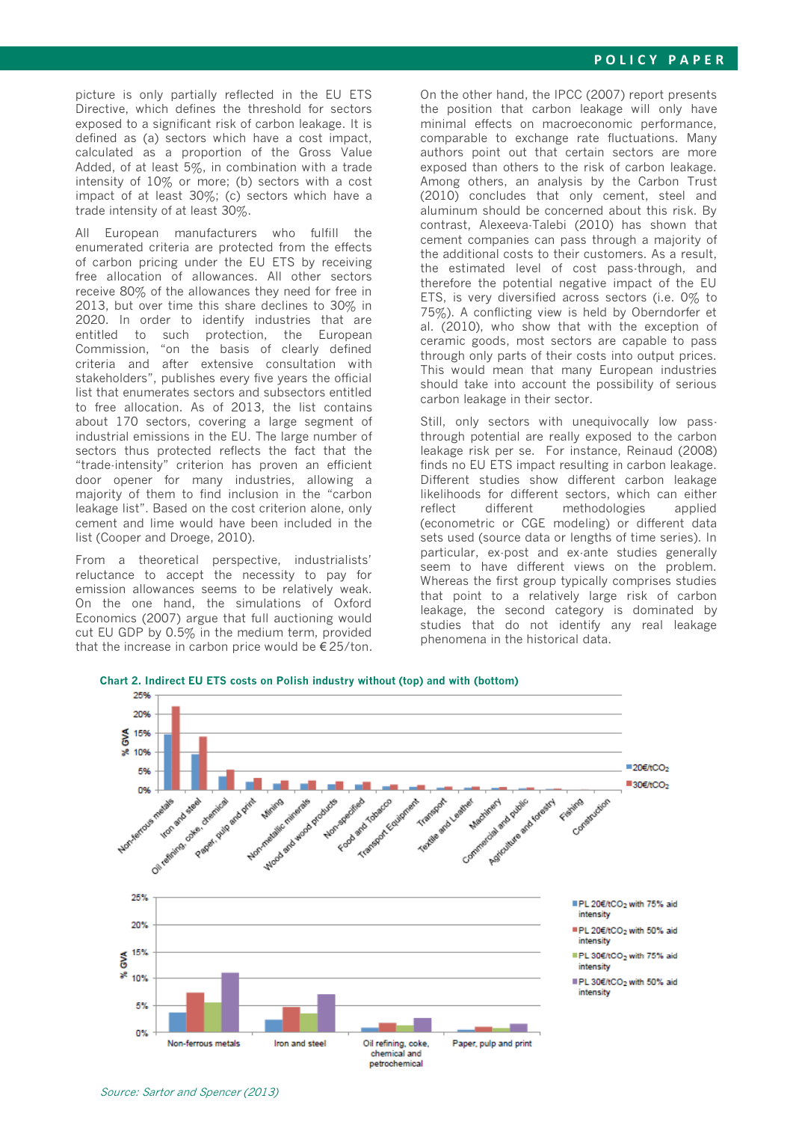picture is only partially reflected in the EU ETS Directive, which defines the threshold for sectors exposed to a significant risk of carbon leakage. It is defined as (a) sectors which have a cost impact, calculated as a proportion of the Gross Value Added, of at least 5%, in combination with a trade intensity of 10% or more; (b) sectors with a cost impact of at least 30%; (c) sectors which have a trade intensity of at least 30%.

All European manufacturers who fulfill the enumerated criteria are protected from the effects of carbon pricing under the EU ETS by receiving free allocation of allowances. All other sectors receive 80% of the allowances they need for free in 2013, but over time this share declines to 30% in 2020. In order to identify industries that are entitled to such protection, the European Commission, "on the basis of clearly defined criteria and after extensive consultation with stakeholders", publishes every five years the official list that enumerates sectors and subsectors entitled to free allocation. As of 2013, the list contains about 170 sectors, covering a large segment of industrial emissions in the EU. The large number of sectors thus protected reflects the fact that the "trade-intensity" criterion has proven an efficient door opener for many industries, allowing a majority of them to find inclusion in the "carbon leakage list". Based on the cost criterion alone, only cement and lime would have been included in the list (Cooper and Droege, 2010).

From a theoretical perspective, industrialists' reluctance to accept the necessity to pay for emission allowances seems to be relatively weak. On the one hand, the simulations of Oxford Economics (2007) argue that full auctioning would cut EU GDP by 0.5% in the medium term, provided that the increase in carbon price would be  $\epsilon$  25/ton. On the other hand, the IPCC (2007) report presents the position that carbon leakage will only have minimal effects on macroeconomic performance, comparable to exchange rate fluctuations. Many authors point out that certain sectors are more exposed than others to the risk of carbon leakage. Among others, an analysis by the Carbon Trust (2010) concludes that only cement, steel and aluminum should be concerned about this risk. By contrast, Alexeeva-Talebi (2010) has shown that cement companies can pass through a majority of the additional costs to their customers. As a result, the estimated level of cost pass-through, and therefore the potential negative impact of the EU ETS, is very diversified across sectors (i.e. 0% to 75%). A conflicting view is held by Oberndorfer et al. (2010), who show that with the exception of ceramic goods, most sectors are capable to pass through only parts of their costs into output prices. This would mean that many European industries should take into account the possibility of serious carbon leakage in their sector.

Still, only sectors with unequivocally low passthrough potential are really exposed to the carbon leakage risk per se. For instance, Reinaud (2008) finds no EU ETS impact resulting in carbon leakage. Different studies show different carbon leakage likelihoods for different sectors, which can either reflect different methodologies applied (econometric or CGE modeling) or different data sets used (source data or lengths of time series). In particular, ex-post and ex-ante studies generally seem to have different views on the problem. Whereas the first group typically comprises studies that point to a relatively large risk of carbon leakage, the second category is dominated by studies that do not identify any real leakage phenomena in the historical data.



**Chart 2. Indirect EU ETS costs on Polish industry without (top) and with (bottom)**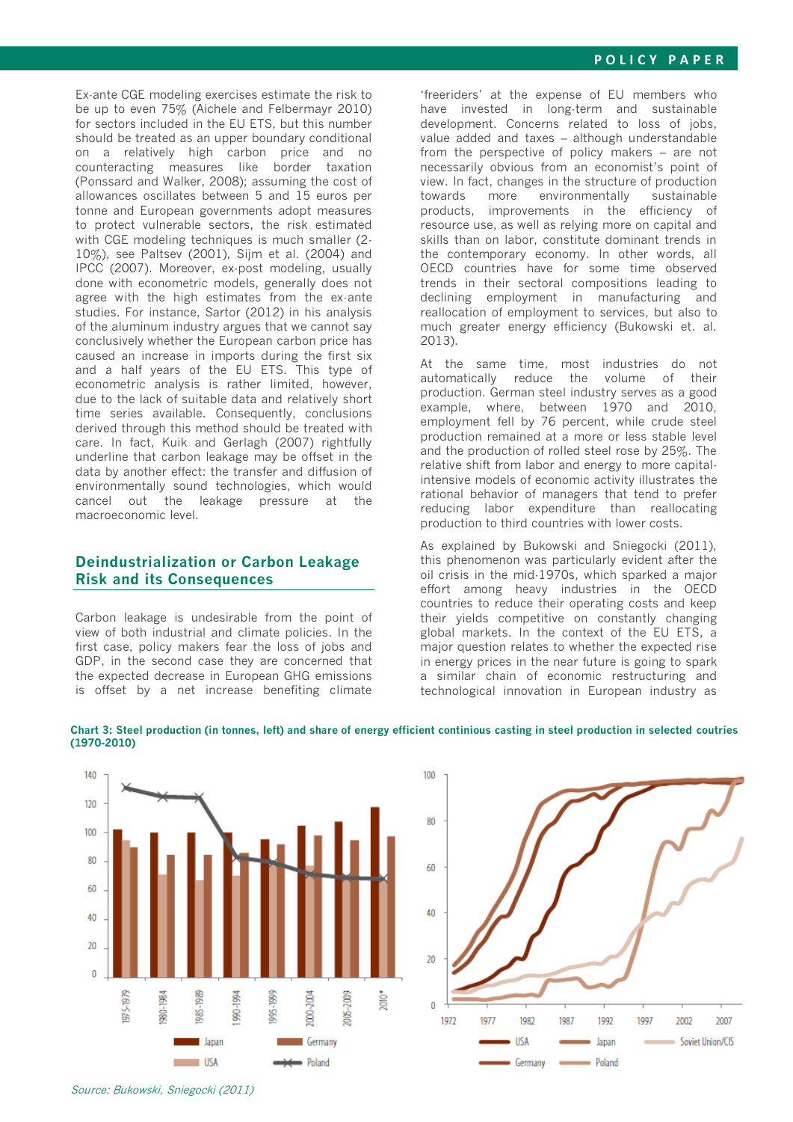Ex-ante CGE modeling exercises estimate the risk to be up to even 75% (Aichele and Felbermayr 2010) for sectors included in the EU ETS, but this number should be treated as an upper boundary conditional on a relatively high carbon price and no counteracting measures like border taxation (Ponssard and Walker, 2008); assuming the cost of allowances oscillates between 5 and 15 euros per tonne and European governments adopt measures to protect vulnerable sectors, the risk estimated with CGE modeling techniques is much smaller (2-10%), see Paltsev (2001), Sijm et al. (2004) and IPCC (2007). Moreover, ex-post modeling, usually done with econometric models, generally does not agree with the high estimates from the ex-ante studies. For instance, Sartor (2012) in his analysis of the aluminum industry argues that we cannot say conclusively whether the European carbon price has caused an increase in imports during the first six and a half years of the EU ETS. This type of econometric analysis is rather limited, however, due to the lack of suitable data and relatively short time series available. Consequently, conclusions derived through this method should be treated with care. In fact, Kuik and Gerlagh (2007) rightfully underline that carbon leakage may be offset in the data by another effect: the transfer and diffusion of environmentally sound technologies, which would cancel out the leakage pressure at the macroeconomic level.

## **Deindustrialization or Carbon Leakage Risk and its Consequences**

Carbon leakage is undesirable from the point of view of both industrial and climate policies. In the first case, policy makers fear the loss of jobs and GDP, in the second case they are concerned that the expected decrease in European GHG emissions is offset by a net increase benefiting climate

'freeriders' at the expense of EU members who have invested in long-term and sustainable development. Concerns related to loss of jobs, value added and taxes – although understandable from the perspective of policy makers – are not necessarily obvious from an economist's point of view. In fact, changes in the structure of production towards more environmentally sustainable products, improvements in the efficiency of resource use, as well as relying more on capital and skills than on labor, constitute dominant trends in the contemporary economy. In other words, all OECD countries have for some time observed trends in their sectoral compositions leading to declining employment in manufacturing and reallocation of employment to services, but also to much greater energy efficiency (Bukowski et. al. 2013).

At the same time, most industries do not automatically reduce the volume of their production. German steel industry serves as a good example, where, between 1970 and 2010, employment fell by 76 percent, while crude steel production remained at a more or less stable level and the production of rolled steel rose by 25%. The relative shift from labor and energy to more capitalintensive models of economic activity illustrates the rational behavior of managers that tend to prefer reducing labor expenditure than reallocating production to third countries with lower costs.

As explained by Bukowski and Sniegocki (2011), this phenomenon was particularly evident after the oil crisis in the mid-1970s, which sparked a major effort among heavy industries in the OECD countries to reduce their operating costs and keep their yields competitive on constantly changing global markets. In the context of the EU ETS, a major question relates to whether the expected rise in energy prices in the near future is going to spark a similar chain of economic restructuring and technological innovation in European industry as



100 80 60 40  $\overline{20}$  $\theta$ 1972 1977 1987 1987 1997 1997 2002 2007 Soviet Union/CIS **TISA** Japan Germany  $\blacksquare$  Poland

#### **Chart 3: Steel production (in tonnes, left) and share of energy efficient continious casting in steel production in selected coutries (1970-2010)**

Source: Bukowski, Sniegocki (2011)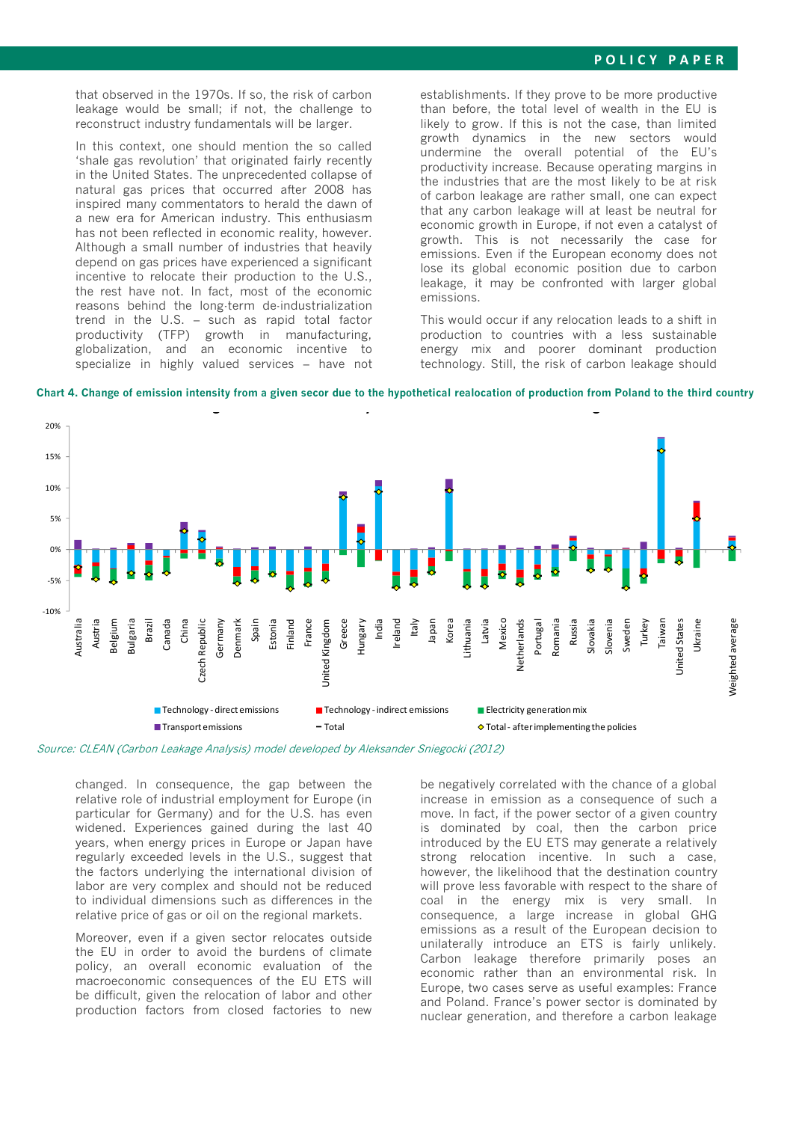### **P O L I C Y P A P E R**

that observed in the 1970s. If so, the risk of carbon leakage would be small; if not, the challenge to reconstruct industry fundamentals will be larger.

In this context, one should mention the so called 'shale gas revolution' that originated fairly recently in the United States. The unprecedented collapse of natural gas prices that occurred after 2008 has inspired many commentators to herald the dawn of a new era for American industry. This enthusiasm has not been reflected in economic reality, however. Although a small number of industries that heavily depend on gas prices have experienced a significant incentive to relocate their production to the U.S., the rest have not. In fact, most of the economic reasons behind the long-term de-industrialization trend in the U.S. – such as rapid total factor productivity (TFP) growth in manufacturing, globalization, and an economic incentive to specialize in highly valued services – have not establishments. If they prove to be more productive than before, the total level of wealth in the EU is likely to grow. If this is not the case, than limited growth dynamics in the new sectors would undermine the overall potential of the EU's productivity increase. Because operating margins in the industries that are the most likely to be at risk of carbon leakage are rather small, one can expect that any carbon leakage will at least be neutral for economic growth in Europe, if not even a catalyst of growth. This is not necessarily the case for emissions. Even if the European economy does not lose its global economic position due to carbon leakage, it may be confronted with larger global emissions.

This would occur if any relocation leads to a shift in production to countries with a less sustainable energy mix and poorer dominant production technology. Still, the risk of carbon leakage should



**Chart 4. Change of emission intensity from a given secor due to the hypothetical realocation of production from Poland to the third country** 

Source: CLEAN (Carbon Leakage Analysis) model developed by Aleksander Sniegocki (2012)

changed. In consequence, the gap between the relative role of industrial employment for Europe (in particular for Germany) and for the U.S. has even widened. Experiences gained during the last 40 years, when energy prices in Europe or Japan have regularly exceeded levels in the U.S., suggest that the factors underlying the international division of labor are very complex and should not be reduced to individual dimensions such as differences in the relative price of gas or oil on the regional markets.

Moreover, even if a given sector relocates outside the EU in order to avoid the burdens of climate policy, an overall economic evaluation of the macroeconomic consequences of the EU ETS will be difficult, given the relocation of labor and other production factors from closed factories to new

be negatively correlated with the chance of a global increase in emission as a consequence of such a move. In fact, if the power sector of a given country is dominated by coal, then the carbon price introduced by the EU ETS may generate a relatively strong relocation incentive. In such a case, however, the likelihood that the destination country will prove less favorable with respect to the share of coal in the energy mix is very small. In consequence, a large increase in global GHG emissions as a result of the European decision to unilaterally introduce an ETS is fairly unlikely. Carbon leakage therefore primarily poses an economic rather than an environmental risk. In Europe, two cases serve as useful examples: France and Poland. France's power sector is dominated by nuclear generation, and therefore a carbon leakage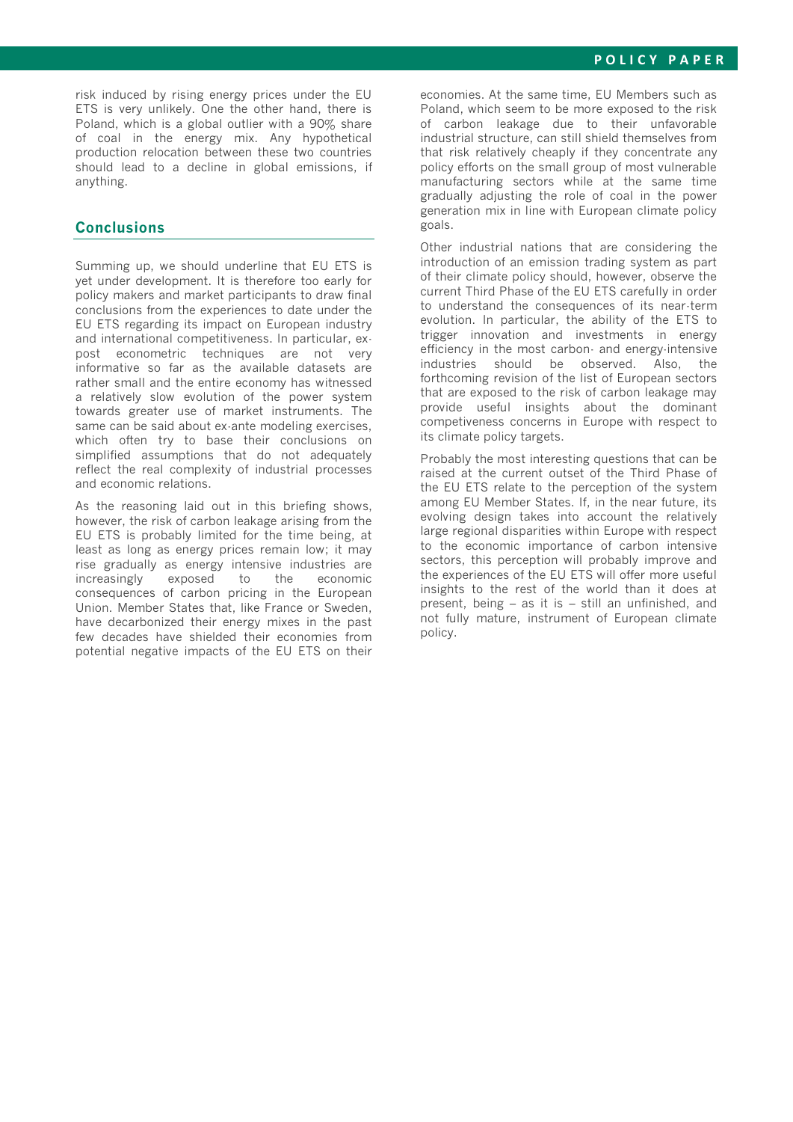risk induced by rising energy prices under the EU ETS is very unlikely. One the other hand, there is Poland, which is a global outlier with a 90% share of coal in the energy mix. Any hypothetical production relocation between these two countries should lead to a decline in global emissions, if anything.

## **Conclusions**

Summing up, we should underline that EU ETS is yet under development. It is therefore too early for policy makers and market participants to draw final conclusions from the experiences to date under the EU ETS regarding its impact on European industry and international competitiveness. In particular, expost econometric techniques are not very informative so far as the available datasets are rather small and the entire economy has witnessed a relatively slow evolution of the power system towards greater use of market instruments. The same can be said about ex-ante modeling exercises, which often try to base their conclusions on simplified assumptions that do not adequately reflect the real complexity of industrial processes and economic relations.

As the reasoning laid out in this briefing shows, however, the risk of carbon leakage arising from the EU ETS is probably limited for the time being, at least as long as energy prices remain low; it may rise gradually as energy intensive industries are increasingly exposed to the economic consequences of carbon pricing in the European Union. Member States that, like France or Sweden, have decarbonized their energy mixes in the past few decades have shielded their economies from potential negative impacts of the EU ETS on their

economies. At the same time, EU Members such as Poland, which seem to be more exposed to the risk of carbon leakage due to their unfavorable industrial structure, can still shield themselves from that risk relatively cheaply if they concentrate any policy efforts on the small group of most vulnerable manufacturing sectors while at the same time gradually adjusting the role of coal in the power generation mix in line with European climate policy goals.

Other industrial nations that are considering the introduction of an emission trading system as part of their climate policy should, however, observe the current Third Phase of the EU ETS carefully in order to understand the consequences of its near-term evolution. In particular, the ability of the ETS to trigger innovation and investments in energy efficiency in the most carbon- and energy-intensive industries should be observed. Also, the forthcoming revision of the list of European sectors that are exposed to the risk of carbon leakage may provide useful insights about the dominant competiveness concerns in Europe with respect to its climate policy targets.

Probably the most interesting questions that can be raised at the current outset of the Third Phase of the EU ETS relate to the perception of the system among EU Member States. If, in the near future, its evolving design takes into account the relatively large regional disparities within Europe with respect to the economic importance of carbon intensive sectors, this perception will probably improve and the experiences of the EU ETS will offer more useful insights to the rest of the world than it does at present, being – as it is – still an unfinished, and not fully mature, instrument of European climate policy.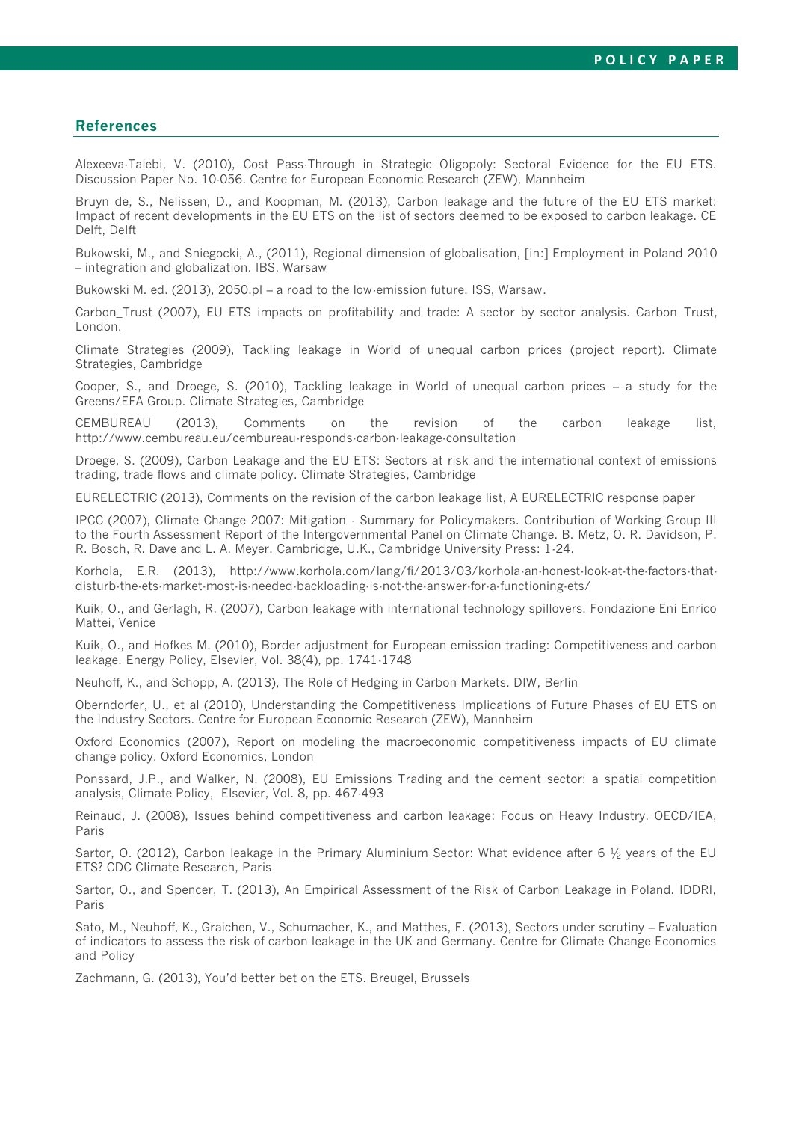### **References**

Alexeeva-Talebi, V. (2010), Cost Pass-Through in Strategic Oligopoly: Sectoral Evidence for the EU ETS. Discussion Paper No. 10-056. Centre for European Economic Research (ZEW), Mannheim

Bruyn de, S., Nelissen, D., and Koopman, M. (2013), Carbon leakage and the future of the EU ETS market: Impact of recent developments in the EU ETS on the list of sectors deemed to be exposed to carbon leakage. CE Delft, Delft

Bukowski, M., and Sniegocki, A., (2011), Regional dimension of globalisation, [in:] Employment in Poland 2010 – integration and globalization. IBS, Warsaw

Bukowski M. ed. (2013), 2050.pl – a road to the low-emission future. ISS, Warsaw.

Carbon\_Trust (2007), EU ETS impacts on profitability and trade: A sector by sector analysis. Carbon Trust, London.

Climate Strategies (2009), Tackling leakage in World of unequal carbon prices (project report). Climate Strategies, Cambridge

Cooper, S., and Droege, S. (2010), Tackling leakage in World of unequal carbon prices – a study for the Greens/EFA Group. Climate Strategies, Cambridge

CEMBUREAU (2013), Comments on the revision of the carbon leakage list, http://www.cembureau.eu/cembureau-responds-carbon-leakage-consultation

Droege, S. (2009), Carbon Leakage and the EU ETS: Sectors at risk and the international context of emissions trading, trade flows and climate policy. Climate Strategies, Cambridge

EURELECTRIC (2013), Comments on the revision of the carbon leakage list, A EURELECTRIC response paper

IPCC (2007), Climate Change 2007: Mitigation - Summary for Policymakers. Contribution of Working Group III to the Fourth Assessment Report of the Intergovernmental Panel on Climate Change. B. Metz, O. R. Davidson, P. R. Bosch, R. Dave and L. A. Meyer. Cambridge, U.K., Cambridge University Press: 1-24.

Korhola, E.R. (2013), http://www.korhola.com/lang/fi/2013/03/korhola-an-honest-look-at-the-factors-thatdisturb-the-ets-market-most-is-needed-backloading-is-not-the-answer-for-a-functioning-ets/

Kuik, O., and Gerlagh, R. (2007), Carbon leakage with international technology spillovers. Fondazione Eni Enrico Mattei, Venice

Kuik, O., and Hofkes M. (2010), Border adjustment for European emission trading: Competitiveness and carbon leakage. Energy Policy, Elsevier, Vol. 38(4), pp. 1741-1748

Neuhoff, K., and Schopp, A. (2013), The Role of Hedging in Carbon Markets. DIW, Berlin

Oberndorfer, U., et al (2010), Understanding the Competitiveness Implications of Future Phases of EU ETS on the Industry Sectors. Centre for European Economic Research (ZEW), Mannheim

Oxford\_Economics (2007), Report on modeling the macroeconomic competitiveness impacts of EU climate change policy. Oxford Economics, London

Ponssard, J.P., and Walker, N. (2008), EU Emissions Trading and the cement sector: a spatial competition analysis, Climate Policy, Elsevier, Vol. 8, pp. 467-493

Reinaud, J. (2008), Issues behind competitiveness and carbon leakage: Focus on Heavy Industry. OECD/IEA, Paris

Sartor, O. (2012), Carbon leakage in the Primary Aluminium Sector: What evidence after 6 ½ years of the EU ETS? CDC Climate Research, Paris

Sartor, O., and Spencer, T. (2013), An Empirical Assessment of the Risk of Carbon Leakage in Poland. IDDRI, Paris

Sato, M., Neuhoff, K., Graichen, V., Schumacher, K., and Matthes, F. (2013), Sectors under scrutiny – Evaluation of indicators to assess the risk of carbon leakage in the UK and Germany. Centre for Climate Change Economics and Policy

Zachmann, G. (2013), You'd better bet on the ETS. Breugel, Brussels